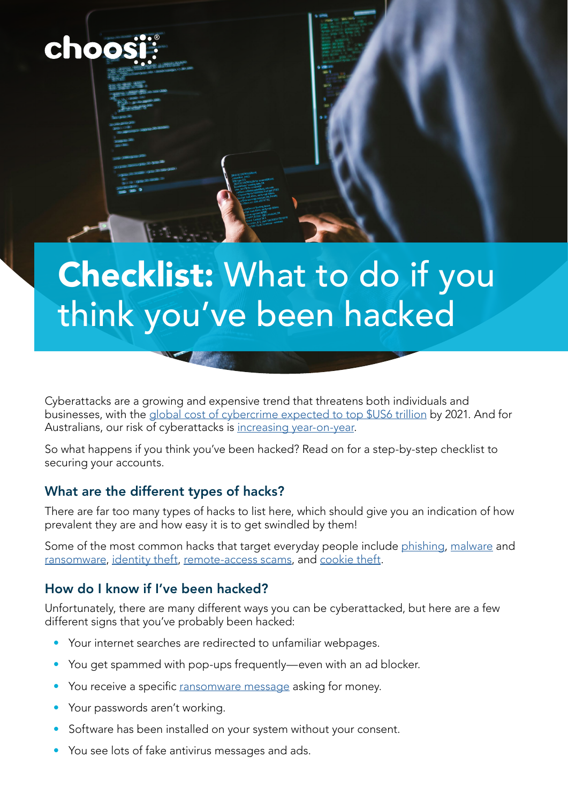

# Checklist: What to do if you think you've been hacked

Cyberattacks are a growing and expensive trend that threatens both individuals and businesses, with the [global cost of cybercrime expected to top \\$US6 trillion](https://cybersecurityventures.com/cybercrime-damages-6-trillion-by-2021/) by 2021. And for Australians, our risk of cyberattacks is [increasing year-on-year](https://www.abc.net.au/news/2019-02-20/is-australia-cyber-hacking/10825642?nw=0).

So what happens if you think you've been hacked? Read on for a step-by-step checklist to securing your accounts.

#### What are the different types of hacks?

There are far too many types of hacks to list here, which should give you an indication of how prevalent they are and how easy it is to get swindled by them!

Some of the most common hacks that target everyday people include [phishing](https://www.cyber.gov.au/acsc/view-all-content/threats/phishing), [malware](https://www.cyber.gov.au/acsc/view-all-content/threats/malware) and [ransomware](https://www.cyber.gov.au/acsc/view-all-content/threats/ransomware), [identity theft](https://www.cyber.gov.au/acsc/view-all-content/threats/identity-theft), [remote-access scams,](https://www.cyber.gov.au/acsc/view-all-content/threats/remote-access-scams) and [cookie theft](https://www.bankvault.com/stealth-attacks-cookie-theft/).

#### How do I know if I've been hacked?

Unfortunately, there are many different ways you can be cyberattacked, but here are a few different signs that you've probably been hacked:

- Your internet searches are redirected to unfamiliar webpages.
- You get spammed with pop-ups frequently—even with an ad blocker.
- You receive a specific [ransomware message](https://www.cyber.gov.au/acsc/view-all-content/threats/ransomware) asking for money.
- Your passwords aren't working.
- Software has been installed on your system without your consent.
- You see lots of fake antivirus messages and ads.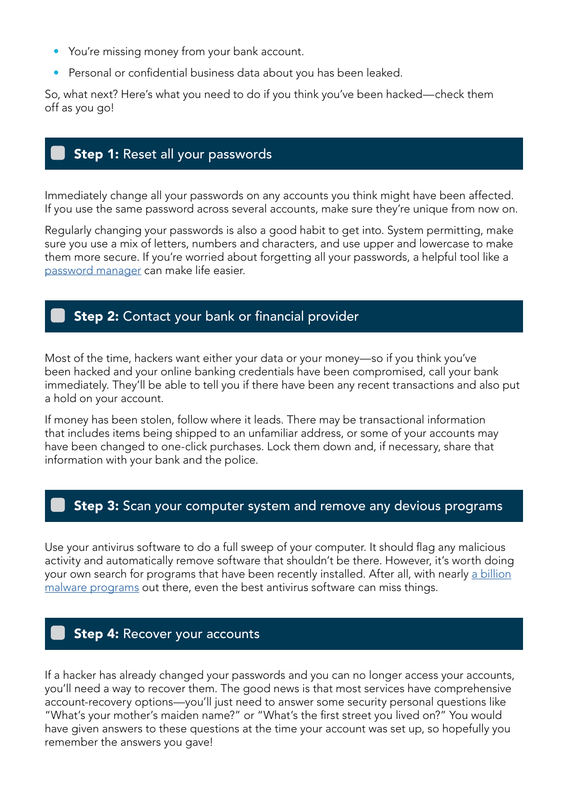- You're missing money from your bank account.
- Personal or confidential business data about you has been leaked.

So, what next? Here's what you need to do if you think you've been hacked—check them off as you go!

## Step 1: Reset all your passwords

Immediately change all your passwords on any accounts you think might have been affected. If you use the same password across several accounts, make sure they're unique from now on.

Regularly changing your passwords is also a good habit to get into. System permitting, make sure you use a mix of letters, numbers and characters, and use upper and lowercase to make them more secure. If you're worried about forgetting all your passwords, a helpful tool like a [password manager](https://www.choice.com.au/electronics-and-technology/internet/internet-privacy-and-safety/buying-guides/password-managers) can make life easier.

#### **Step 2:** Contact your bank or financial provider

Most of the time, hackers want either your data or your money—so if you think you've been hacked and your online banking credentials have been compromised, call your bank immediately. They'll be able to tell you if there have been any recent transactions and also put a hold on your account.

If money has been stolen, follow where it leads. There may be transactional information that includes items being shipped to an unfamiliar address, or some of your accounts may have been changed to one-click purchases. Lock them down and, if necessary, share that information with your bank and the police.

#### Step 3: Scan your computer system and remove any devious programs

Use your antivirus software to do a full sweep of your computer. It should flag any malicious activity and automatically remove software that shouldn't be there. However, it's worth doing your own search for programs that have been recently installed. After all, with nearly [a billion](https://dataprot.net/statistics/malware-statistics/) [malware programs](https://dataprot.net/statistics/malware-statistics/) out there, even the best antivirus software can miss things.

#### Step 4: Recover your accounts

If a hacker has already changed your passwords and you can no longer access your accounts, you'll need a way to recover them. The good news is that most services have comprehensive account-recovery options—you'll just need to answer some security personal questions like "What's your mother's maiden name?" or "What's the first street you lived on?" You would have given answers to these questions at the time your account was set up, so hopefully you remember the answers you gave!